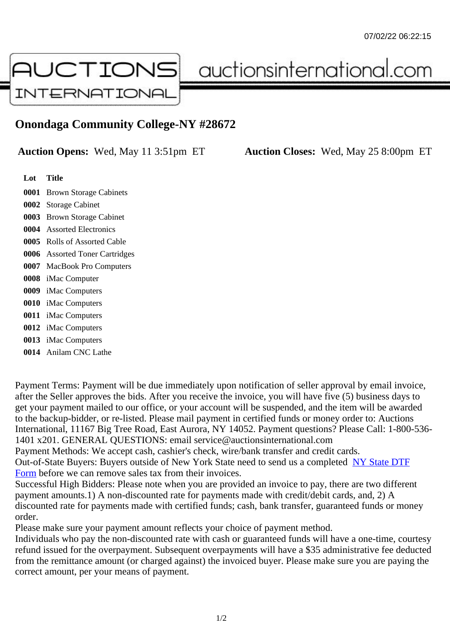## Onondaga Community College-NY #28672

Auction Opens: Wed, May 11 3:51pm ET Auction Closes: Wed, May 25 8:00pm ET

Lot Title

 Brown Storage Cabinets Storage Cabinet Brown Storage Cabinet Assorted Electronics Rolls of Assorted Cable Assorted Toner Cartridges MacBook Pro Computers iMac Computer iMac Computers iMac Computers iMac Computers iMac Computers iMac Computers Anilam CNC Lathe

Payment Terms: Payment will be due immediately upon notification of seller approval by email invoice, after the Seller approves the bids. After you receive the invoice, you will have five (5) business days to get your payment mailed to our office, or your account will be suspended, and the item will be awarded to the backup-bidder, or re-listed. Please mail payment in certified funds or money order to: Auctions International, 11167 Big Tree Road, East Aurora, NY 14052. Payment questions? Please Call: 1-800-53 1401 x201. GENERAL QUESTIONS: email service@auctionsinternational.com

Payment Methods: We accept cash, cashier's check, wire/bank transfer and credit cards.

Out-of-State Buyers: Buyers outside of New York State need to send us a complered NTF Form before we can remove sales tax from their invoices.

Successful High Bidders: Please note when you are provided an invoice to pay, there are two different payment amounts.1) A non-discounted rate for payments made with credit/de[bit cards, and](https://www.auctionsinternational.com/auxiliary/downloads/DTF_Form/dtf_fill_in.pdf), 2) A [disco](https://www.auctionsinternational.com/auxiliary/downloads/DTF_Form/dtf_fill_in.pdf)unted rate for payments made with certified funds; cash, bank transfer, guaranteed funds or mone order.

Please make sure your payment amount reflects your choice of payment method.

Individuals who pay the non-discounted rate with cash or guaranteed funds will have a one-time, courte refund issued for the overpayment. Subsequent overpayments will have a \$35 administrative fee deduc from the remittance amount (or charged against) the invoiced buyer. Please make sure you are paying correct amount, per your means of payment.